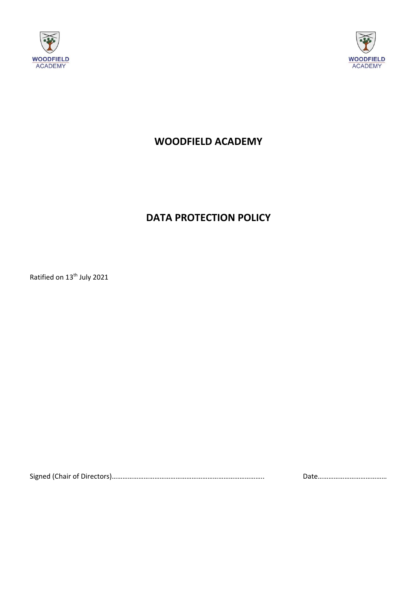



# **WOODFIELD ACADEMY**

# **DATA PROTECTION POLICY**

Ratified on 13<sup>th</sup> July 2021

Signed (Chair of Directors)………………………………………………………………………….. Date…………………………………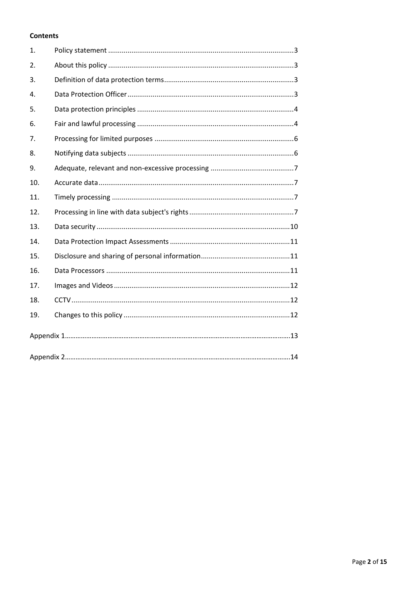# **Contents**

| 1.             |  |  |
|----------------|--|--|
| 2.             |  |  |
| 3.             |  |  |
| $\mathbf{4}$ . |  |  |
| 5.             |  |  |
| 6.             |  |  |
| 7.             |  |  |
| 8.             |  |  |
| 9.             |  |  |
| 10.            |  |  |
| 11.            |  |  |
| 12.            |  |  |
| 13.            |  |  |
| 14.            |  |  |
| 15.            |  |  |
| 16.            |  |  |
| 17.            |  |  |
| 18.            |  |  |
| 19.            |  |  |
|                |  |  |
|                |  |  |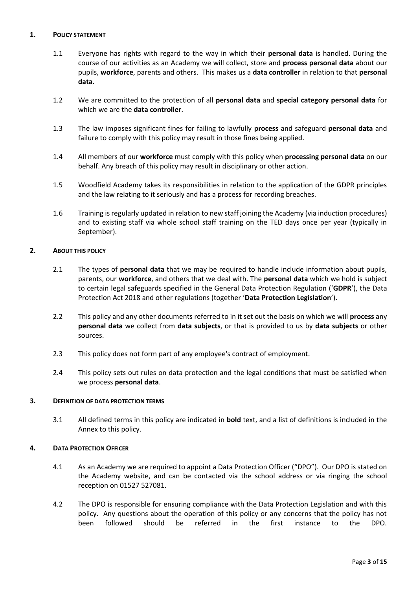### **1. POLICY STATEMENT**

- 1.1 Everyone has rights with regard to the way in which their **personal data** is handled. During the course of our activities as an Academy we will collect, store and **process personal data** about our pupils, **workforce**, parents and others. This makes us a **data controller** in relation to that **personal data**.
- 1.2 We are committed to the protection of all **personal data** and **special category personal data** for which we are the **data controller**.
- 1.3 The law imposes significant fines for failing to lawfully **process** and safeguard **personal data** and failure to comply with this policy may result in those fines being applied.
- 1.4 All members of our **workforce** must comply with this policy when **processing personal data** on our behalf. Any breach of this policy may result in disciplinary or other action.
- 1.5 Woodfield Academy takes its responsibilities in relation to the application of the GDPR principles and the law relating to it seriously and has a process for recording breaches.
- 1.6 Training is regularly updated in relation to new staff joining the Academy (via induction procedures) and to existing staff via whole school staff training on the TED days once per year (typically in September).

# **2. ABOUT THIS POLICY**

- 2.1 The types of **personal data** that we may be required to handle include information about pupils, parents, our **workforce**, and others that we deal with. The **personal data** which we hold is subject to certain legal safeguards specified in the General Data Protection Regulation ('**GDPR**'), the Data Protection Act 2018 and other regulations (together '**Data Protection Legislation**').
- 2.2 This policy and any other documents referred to in it set out the basis on which we will **process** any **personal data** we collect from **data subjects**, or that is provided to us by **data subjects** or other sources.
- 2.3 This policy does not form part of any employee's contract of employment.
- 2.4 This policy sets out rules on data protection and the legal conditions that must be satisfied when we process **personal data**.

#### **3. DEFINITION OF DATA PROTECTION TERMS**

3.1 All defined terms in this policy are indicated in **bold** text, and a list of definitions is included in the Annex to this policy.

#### **4. DATA PROTECTION OFFICER**

- 4.1 As an Academy we are required to appoint a Data Protection Officer ("DPO"). Our DPO is stated on the Academy website, and can be contacted via the school address or via ringing the school reception on 01527 527081.
- 4.2 The DPO is responsible for ensuring compliance with the Data Protection Legislation and with this policy. Any questions about the operation of this policy or any concerns that the policy has not been followed should be referred in the first instance to the DPO.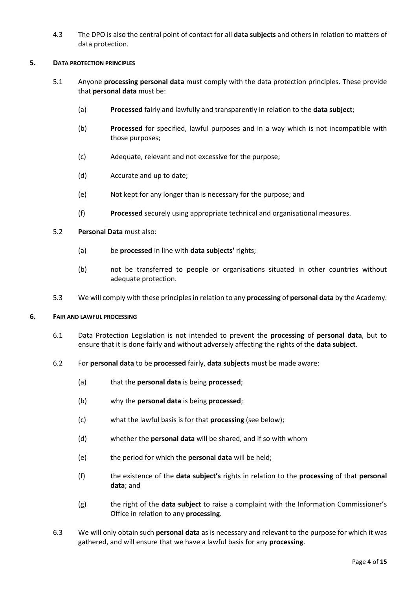4.3 The DPO is also the central point of contact for all **data subjects** and others in relation to matters of data protection.

#### **5. DATA PROTECTION PRINCIPLES**

- 5.1 Anyone **processing personal data** must comply with the data protection principles. These provide that **personal data** must be:
	- (a) **Processed** fairly and lawfully and transparently in relation to the **data subject**;
	- (b) **Processed** for specified, lawful purposes and in a way which is not incompatible with those purposes;
	- (c) Adequate, relevant and not excessive for the purpose;
	- (d) Accurate and up to date;
	- (e) Not kept for any longer than is necessary for the purpose; and
	- (f) **Processed** securely using appropriate technical and organisational measures.

#### 5.2 **Personal Data** must also:

- (a) be **processed** in line with **data subjects'** rights;
- (b) not be transferred to people or organisations situated in other countries without adequate protection.
- 5.3 We will comply with these principles in relation to any **processing** of **personal data** by the Academy.

#### **6. FAIR AND LAWFUL PROCESSING**

- 6.1 Data Protection Legislation is not intended to prevent the **processing** of **personal data**, but to ensure that it is done fairly and without adversely affecting the rights of the **data subject**.
- 6.2 For **personal data** to be **processed** fairly, **data subjects** must be made aware:
	- (a) that the **personal data** is being **processed**;
	- (b) why the **personal data** is being **processed**;
	- (c) what the lawful basis is for that **processing** (see below);
	- (d) whether the **personal data** will be shared, and if so with whom
	- (e) the period for which the **personal data** will be held;
	- (f) the existence of the **data subject's** rights in relation to the **processing** of that **personal data**; and
	- (g) the right of the **data subject** to raise a complaint with the Information Commissioner's Office in relation to any **processing**.
- 6.3 We will only obtain such **personal data** as is necessary and relevant to the purpose for which it was gathered, and will ensure that we have a lawful basis for any **processing**.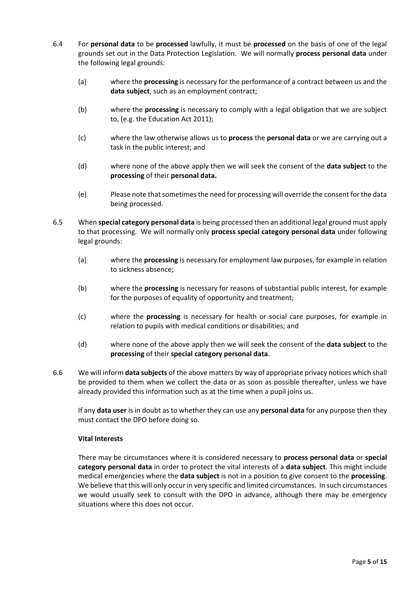- 6.4 For **personal data** to be **processed** lawfully, it must be **processed** on the basis of one of the legal grounds set out in the Data Protection Legislation. We will normally **process personal data** under the following legal grounds:
	- (a) where the **processing** is necessary for the performance of a contract between us and the **data subject**, such as an employment contract;
	- (b) where the **processing** is necessary to comply with a legal obligation that we are subject to, (e.g. the Education Act 2011);
	- (c) where the law otherwise allows us to **process** the **personal data** or we are carrying out a task in the public interest; and
	- (d) where none of the above apply then we will seek the consent of the **data subject** to the **processing** of their **personal data.**
	- (e) Please note that sometimes the need for processing will override the consent for the data being processed.
- 6.5 When **special category personal data** is being processed then an additional legal ground must apply to that processing. We will normally only **process special category personal data** under following legal grounds:
	- (a) where the **processing** is necessary for employment law purposes, for example in relation to sickness absence;
	- (b) where the **processing** is necessary for reasons of substantial public interest, for example for the purposes of equality of opportunity and treatment;
	- (c) where the **processing** is necessary for health or social care purposes, for example in relation to pupils with medical conditions or disabilities; and
	- (d) where none of the above apply then we will seek the consent of the **data subject** to the **processing** of their **special category personal data**.
- 6.6 We will inform **data subjects** of the above matters by way of appropriate privacy notices which shall be provided to them when we collect the data or as soon as possible thereafter, unless we have already provided this information such as at the time when a pupil joins us.

If any **data user** is in doubt as to whether they can use any **personal data** for any purpose then they must contact the DPO before doing so.

# **Vital Interests**

There may be circumstances where it is considered necessary to **process personal data** or **special category personal data** in order to protect the vital interests of a **data subject**. This might include medical emergencies where the **data subject** is not in a position to give consent to the **processing**. We believe that this will only occur in very specific and limited circumstances. In such circumstances we would usually seek to consult with the DPO in advance, although there may be emergency situations where this does not occur.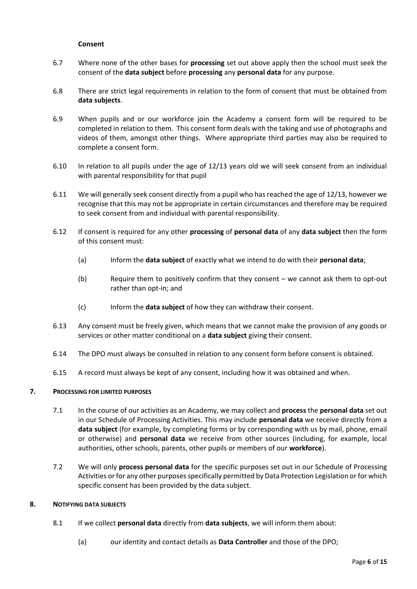#### **Consent**

- 6.7 Where none of the other bases for **processing** set out above apply then the school must seek the consent of the **data subject** before **processing** any **personal data** for any purpose.
- 6.8 There are strict legal requirements in relation to the form of consent that must be obtained from **data subjects**.
- 6.9 When pupils and or our workforce join the Academy a consent form will be required to be completed in relation to them. This consent form deals with the taking and use of photographs and videos of them, amongst other things. Where appropriate third parties may also be required to complete a consent form.
- 6.10 In relation to all pupils under the age of 12/13 years old we will seek consent from an individual with parental responsibility for that pupil
- 6.11 We will generally seek consent directly from a pupil who has reached the age of 12/13, however we recognise that this may not be appropriate in certain circumstances and therefore may be required to seek consent from and individual with parental responsibility.
- 6.12 If consent is required for any other **processing** of **personal data** of any **data subject** then the form of this consent must:
	- (a) Inform the **data subject** of exactly what we intend to do with their **personal data**;
	- (b) Require them to positively confirm that they consent we cannot ask them to opt-out rather than opt-in; and
	- (c) Inform the **data subject** of how they can withdraw their consent.
- 6.13 Any consent must be freely given, which means that we cannot make the provision of any goods or services or other matter conditional on a **data subject** giving their consent.
- 6.14 The DPO must always be consulted in relation to any consent form before consent is obtained.
- 6.15 A record must always be kept of any consent, including how it was obtained and when.

#### **7. PROCESSING FOR LIMITED PURPOSES**

- 7.1 In the course of our activities as an Academy, we may collect and **process** the **personal data** set out in our Schedule of Processing Activities. This may include **personal data** we receive directly from a **data subject** (for example, by completing forms or by corresponding with us by mail, phone, email or otherwise) and **personal data** we receive from other sources (including, for example, local authorities, other schools, parents, other pupils or members of our **workforce**).
- 7.2 We will only **process personal data** for the specific purposes set out in our Schedule of Processing Activities or for any other purposes specifically permitted by Data Protection Legislation or for which specific consent has been provided by the data subject.

#### **8. NOTIFYING DATA SUBJECTS**

- 8.1 If we collect **personal data** directly from **data subjects**, we will inform them about:
	- (a) our identity and contact details as **Data Controller** and those of the DPO;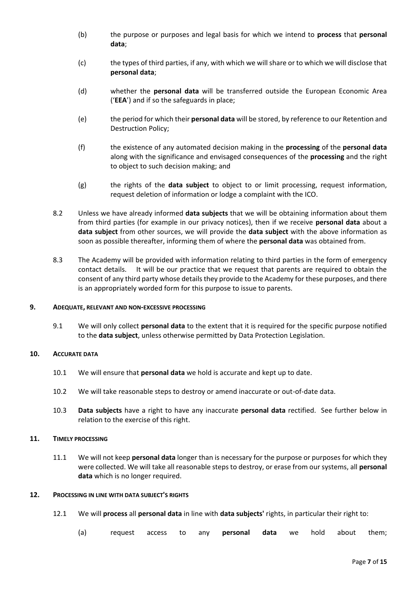- (b) the purpose or purposes and legal basis for which we intend to **process** that **personal data**;
- (c) the types of third parties, if any, with which we will share or to which we will disclose that **personal data**;
- (d) whether the **personal data** will be transferred outside the European Economic Area ('**EEA**') and if so the safeguards in place;
- (e) the period for which their **personal data** will be stored, by reference to our Retention and Destruction Policy;
- (f) the existence of any automated decision making in the **processing** of the **personal data** along with the significance and envisaged consequences of the **processing** and the right to object to such decision making; and
- (g) the rights of the **data subject** to object to or limit processing, request information, request deletion of information or lodge a complaint with the ICO.
- 8.2 Unless we have already informed **data subjects** that we will be obtaining information about them from third parties (for example in our privacy notices), then if we receive **personal data** about a **data subject** from other sources, we will provide the **data subject** with the above information as soon as possible thereafter, informing them of where the **personal data** was obtained from.
- 8.3 The Academy will be provided with information relating to third parties in the form of emergency contact details. It will be our practice that we request that parents are required to obtain the consent of any third party whose details they provide to the Academy for these purposes, and there is an appropriately worded form for this purpose to issue to parents.

#### **9. ADEQUATE, RELEVANT AND NON-EXCESSIVE PROCESSING**

9.1 We will only collect **personal data** to the extent that it is required for the specific purpose notified to the **data subject**, unless otherwise permitted by Data Protection Legislation.

#### **10. ACCURATE DATA**

- 10.1 We will ensure that **personal data** we hold is accurate and kept up to date.
- 10.2 We will take reasonable steps to destroy or amend inaccurate or out-of-date data.
- 10.3 **Data subjects** have a right to have any inaccurate **personal data** rectified. See further below in relation to the exercise of this right.

# **11. TIMELY PROCESSING**

11.1 We will not keep **personal data** longer than is necessary for the purpose or purposes for which they were collected. We will take all reasonable steps to destroy, or erase from our systems, all **personal data** which is no longer required.

#### **12. PROCESSING IN LINE WITH DATA SUBJECT'S RIGHTS**

- 12.1 We will **process** all **personal data** in line with **data subjects'** rights, in particular their right to:
	- (a) request access to any **personal data** we hold about them;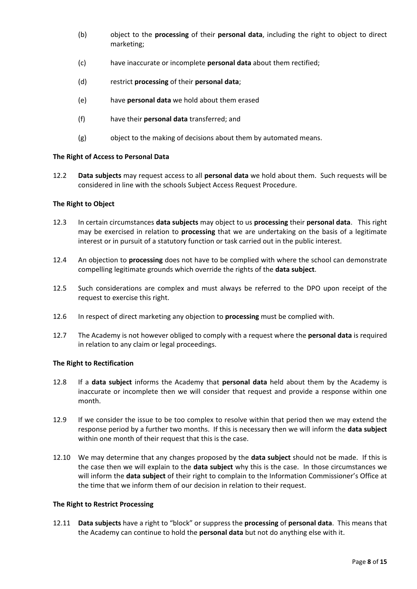- (b) object to the **processing** of their **personal data**, including the right to object to direct marketing;
- (c) have inaccurate or incomplete **personal data** about them rectified;
- (d) restrict **processing** of their **personal data**;
- (e) have **personal data** we hold about them erased
- (f) have their **personal data** transferred; and
- (g) object to the making of decisions about them by automated means.

#### **The Right of Access to Personal Data**

12.2 **Data subjects** may request access to all **personal data** we hold about them. Such requests will be considered in line with the schools Subject Access Request Procedure.

#### **The Right to Object**

- 12.3 In certain circumstances **data subjects** may object to us **processing** their **personal data**. This right may be exercised in relation to **processing** that we are undertaking on the basis of a legitimate interest or in pursuit of a statutory function or task carried out in the public interest.
- 12.4 An objection to **processing** does not have to be complied with where the school can demonstrate compelling legitimate grounds which override the rights of the **data subject**.
- 12.5 Such considerations are complex and must always be referred to the DPO upon receipt of the request to exercise this right.
- 12.6 In respect of direct marketing any objection to **processing** must be complied with.
- 12.7 The Academy is not however obliged to comply with a request where the **personal data** is required in relation to any claim or legal proceedings.

#### **The Right to Rectification**

- 12.8 If a **data subject** informs the Academy that **personal data** held about them by the Academy is inaccurate or incomplete then we will consider that request and provide a response within one month.
- 12.9 If we consider the issue to be too complex to resolve within that period then we may extend the response period by a further two months. If this is necessary then we will inform the **data subject** within one month of their request that this is the case.
- 12.10 We may determine that any changes proposed by the **data subject** should not be made. If this is the case then we will explain to the **data subject** why this is the case. In those circumstances we will inform the **data subject** of their right to complain to the Information Commissioner's Office at the time that we inform them of our decision in relation to their request.

#### **The Right to Restrict Processing**

12.11 **Data subjects** have a right to "block" or suppress the **processing** of **personal data**. This means that the Academy can continue to hold the **personal data** but not do anything else with it.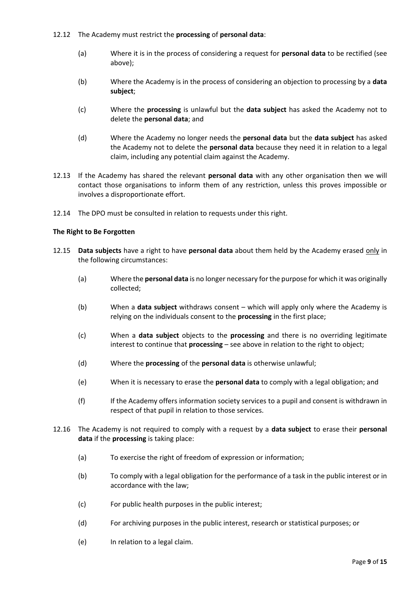- 12.12 The Academy must restrict the **processing** of **personal data**:
	- (a) Where it is in the process of considering a request for **personal data** to be rectified (see above);
	- (b) Where the Academy is in the process of considering an objection to processing by a **data subject**;
	- (c) Where the **processing** is unlawful but the **data subject** has asked the Academy not to delete the **personal data**; and
	- (d) Where the Academy no longer needs the **personal data** but the **data subject** has asked the Academy not to delete the **personal data** because they need it in relation to a legal claim, including any potential claim against the Academy.
- 12.13 If the Academy has shared the relevant **personal data** with any other organisation then we will contact those organisations to inform them of any restriction, unless this proves impossible or involves a disproportionate effort.
- 12.14 The DPO must be consulted in relation to requests under this right.

# **The Right to Be Forgotten**

- 12.15 **Data subjects** have a right to have **personal data** about them held by the Academy erased only in the following circumstances:
	- (a) Where the **personal data** is no longer necessary for the purpose for which it was originally collected;
	- (b) When a **data subject** withdraws consent which will apply only where the Academy is relying on the individuals consent to the **processing** in the first place;
	- (c) When a **data subject** objects to the **processing** and there is no overriding legitimate interest to continue that **processing** – see above in relation to the right to object;
	- (d) Where the **processing** of the **personal data** is otherwise unlawful;
	- (e) When it is necessary to erase the **personal data** to comply with a legal obligation; and
	- (f) If the Academy offers information society services to a pupil and consent is withdrawn in respect of that pupil in relation to those services.
- 12.16 The Academy is not required to comply with a request by a **data subject** to erase their **personal data** if the **processing** is taking place:
	- (a) To exercise the right of freedom of expression or information;
	- (b) To comply with a legal obligation for the performance of a task in the public interest or in accordance with the law;
	- (c) For public health purposes in the public interest;
	- (d) For archiving purposes in the public interest, research or statistical purposes; or
	- (e) In relation to a legal claim.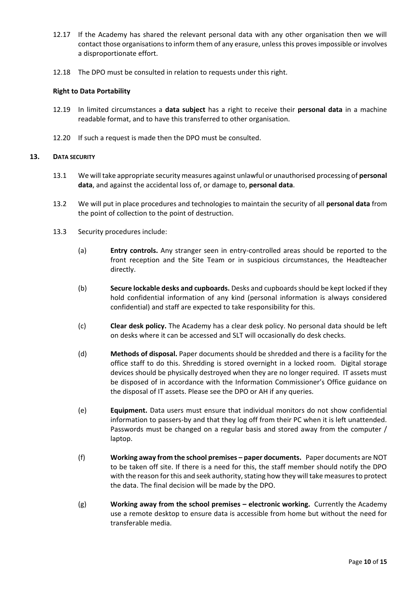- 12.17 If the Academy has shared the relevant personal data with any other organisation then we will contact those organisations to inform them of any erasure, unless this proves impossible or involves a disproportionate effort.
- 12.18 The DPO must be consulted in relation to requests under this right.

#### **Right to Data Portability**

- 12.19 In limited circumstances a **data subject** has a right to receive their **personal data** in a machine readable format, and to have this transferred to other organisation.
- 12.20 If such a request is made then the DPO must be consulted.

#### **13. DATA SECURITY**

- 13.1 We will take appropriate security measures against unlawful or unauthorised processing of **personal data**, and against the accidental loss of, or damage to, **personal data**.
- 13.2 We will put in place procedures and technologies to maintain the security of all **personal data** from the point of collection to the point of destruction.
- 13.3 Security procedures include:
	- (a) **Entry controls.** Any stranger seen in entry-controlled areas should be reported to the front reception and the Site Team or in suspicious circumstances, the Headteacher directly.
	- (b) **Secure lockable desks and cupboards.** Desks and cupboards should be kept locked if they hold confidential information of any kind (personal information is always considered confidential) and staff are expected to take responsibility for this.
	- (c) **Clear desk policy.** The Academy has a clear desk policy. No personal data should be left on desks where it can be accessed and SLT will occasionally do desk checks.
	- (d) **Methods of disposal.** Paper documents should be shredded and there is a facility for the office staff to do this. Shredding is stored overnight in a locked room. Digital storage devices should be physically destroyed when they are no longer required. IT assets must be disposed of in accordance with the Information Commissioner's Office guidance on the disposal of IT assets. Please see the DPO or AH if any queries.
	- (e) **Equipment.** Data users must ensure that individual monitors do not show confidential information to passers-by and that they log off from their PC when it is left unattended. Passwords must be changed on a regular basis and stored away from the computer / laptop.
	- (f) **Working away from the school premises – paper documents.** Paper documents are NOT to be taken off site. If there is a need for this, the staff member should notify the DPO with the reason for this and seek authority, stating how they will take measures to protect the data. The final decision will be made by the DPO.
	- (g) **Working away from the school premises – electronic working.** Currently the Academy use a remote desktop to ensure data is accessible from home but without the need for transferable media.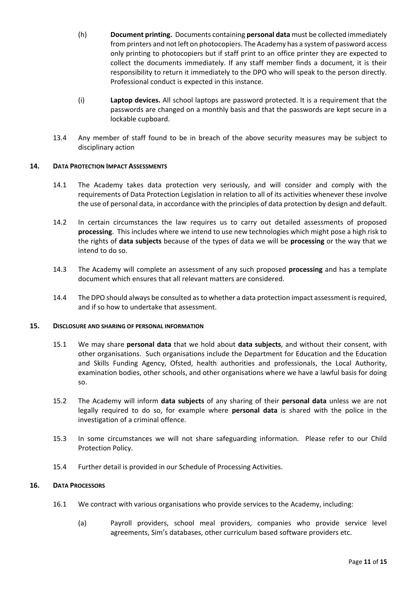- (h) **Document printing.** Documents containing **personal data** must be collected immediately from printers and not left on photocopiers. The Academy has a system of password access only printing to photocopiers but if staff print to an office printer they are expected to collect the documents immediately. If any staff member finds a document, it is their responsibility to return it immediately to the DPO who will speak to the person directly. Professional conduct is expected in this instance.
- (i) **Laptop devices.** All school laptops are password protected. It is a requirement that the passwords are changed on a monthly basis and that the passwords are kept secure in a lockable cupboard.
- 13.4 Any member of staff found to be in breach of the above security measures may be subject to disciplinary action

# **14. DATA PROTECTION IMPACT ASSESSMENTS**

- 14.1 The Academy takes data protection very seriously, and will consider and comply with the requirements of Data Protection Legislation in relation to all of its activities whenever these involve the use of personal data, in accordance with the principles of data protection by design and default.
- 14.2 In certain circumstances the law requires us to carry out detailed assessments of proposed **processing**. This includes where we intend to use new technologies which might pose a high risk to the rights of **data subjects** because of the types of data we will be **processing** or the way that we intend to do so.
- 14.3 The Academy will complete an assessment of any such proposed **processing** and has a template document which ensures that all relevant matters are considered.
- 14.4 The DPO should always be consulted as to whether a data protection impact assessment is required, and if so how to undertake that assessment.

#### **15. DISCLOSURE AND SHARING OF PERSONAL INFORMATION**

- 15.1 We may share **personal data** that we hold about **data subjects**, and without their consent, with other organisations. Such organisations include the Department for Education and the Education and Skills Funding Agency, Ofsted, health authorities and professionals, the Local Authority, examination bodies, other schools, and other organisations where we have a lawful basis for doing so.
- 15.2 The Academy will inform **data subjects** of any sharing of their **personal data** unless we are not legally required to do so, for example where **personal data** is shared with the police in the investigation of a criminal offence.
- 15.3 In some circumstances we will not share safeguarding information. Please refer to our Child Protection Policy.
- 15.4 Further detail is provided in our Schedule of Processing Activities.

#### **16. DATA PROCESSORS**

- 16.1 We contract with various organisations who provide services to the Academy, including:
	- (a) Payroll providers, school meal providers, companies who provide service level agreements, Sim's databases, other curriculum based software providers etc.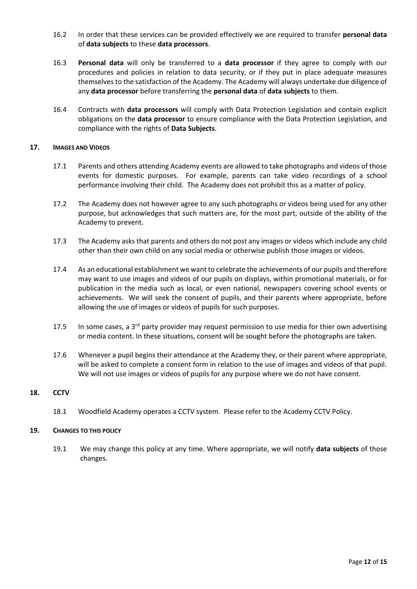- 16.2 In order that these services can be provided effectively we are required to transfer **personal data**  of **data subjects** to these **data processors**.
- 16.3 **Personal data** will only be transferred to a **data processor** if they agree to comply with our procedures and policies in relation to data security, or if they put in place adequate measures themselves to the satisfaction of the Academy. The Academy will always undertake due diligence of any **data processor** before transferring the **personal data** of **data subjects** to them.
- 16.4 Contracts with **data processors** will comply with Data Protection Legislation and contain explicit obligations on the **data processor** to ensure compliance with the Data Protection Legislation, and compliance with the rights of **Data Subjects**.

#### **17. IMAGES AND VIDEOS**

- 17.1 Parents and others attending Academy events are allowed to take photographs and videos of those events for domestic purposes. For example, parents can take video recordings of a school performance involving their child. The Academy does not prohibit this as a matter of policy.
- 17.2 The Academy does not however agree to any such photographs or videos being used for any other purpose, but acknowledges that such matters are, for the most part, outside of the ability of the Academy to prevent.
- 17.3 The Academy asks that parents and others do not post any images or videos which include any child other than their own child on any social media or otherwise publish those images or videos.
- 17.4 As an educational establishment we want to celebrate the achievements of our pupils and therefore may want to use images and videos of our pupils on displays, within promotional materials, or for publication in the media such as local, or even national, newspapers covering school events or achievements. We will seek the consent of pupils, and their parents where appropriate, before allowing the use of images or videos of pupils for such purposes.
- 17.5 In some cases, a  $3^{rd}$  party provider may request permission to use media for thier own advertising or media content. In these situations, consent will be sought before the photographs are taken.
- 17.6 Whenever a pupil begins their attendance at the Academy they, or their parent where appropriate, will be asked to complete a consent form in relation to the use of images and videos of that pupil. We will not use images or videos of pupils for any purpose where we do not have consent.

#### **18. CCTV**

18.1 Woodfield Academy operates a CCTV system. Please refer to the Academy CCTV Policy.

#### **19. CHANGES TO THIS POLICY**

19.1 We may change this policy at any time. Where appropriate, we will notify **data subjects** of those changes.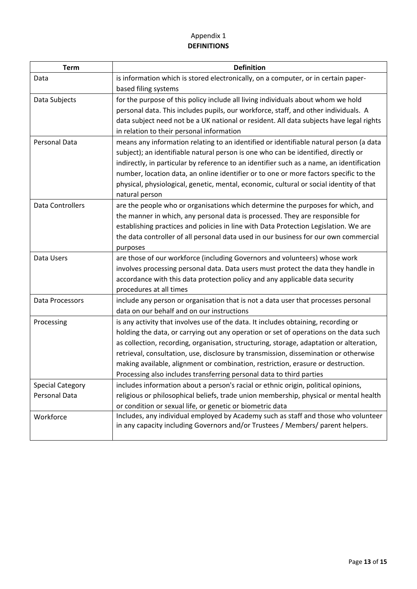# Appendix 1 **DEFINITIONS**

| <b>Term</b>             | <b>Definition</b>                                                                         |
|-------------------------|-------------------------------------------------------------------------------------------|
| Data                    | is information which is stored electronically, on a computer, or in certain paper-        |
|                         | based filing systems                                                                      |
| Data Subjects           | for the purpose of this policy include all living individuals about whom we hold          |
|                         | personal data. This includes pupils, our workforce, staff, and other individuals. A       |
|                         | data subject need not be a UK national or resident. All data subjects have legal rights   |
|                         | in relation to their personal information                                                 |
| Personal Data           | means any information relating to an identified or identifiable natural person (a data    |
|                         | subject); an identifiable natural person is one who can be identified, directly or        |
|                         | indirectly, in particular by reference to an identifier such as a name, an identification |
|                         | number, location data, an online identifier or to one or more factors specific to the     |
|                         | physical, physiological, genetic, mental, economic, cultural or social identity of that   |
|                         | natural person                                                                            |
| <b>Data Controllers</b> | are the people who or organisations which determine the purposes for which, and           |
|                         | the manner in which, any personal data is processed. They are responsible for             |
|                         | establishing practices and policies in line with Data Protection Legislation. We are      |
|                         | the data controller of all personal data used in our business for our own commercial      |
|                         | purposes                                                                                  |
| Data Users              | are those of our workforce (including Governors and volunteers) whose work                |
|                         | involves processing personal data. Data users must protect the data they handle in        |
|                         | accordance with this data protection policy and any applicable data security              |
|                         | procedures at all times                                                                   |
| Data Processors         | include any person or organisation that is not a data user that processes personal        |
|                         | data on our behalf and on our instructions                                                |
| Processing              | is any activity that involves use of the data. It includes obtaining, recording or        |
|                         | holding the data, or carrying out any operation or set of operations on the data such     |
|                         | as collection, recording, organisation, structuring, storage, adaptation or alteration,   |
|                         | retrieval, consultation, use, disclosure by transmission, dissemination or otherwise      |
|                         | making available, alignment or combination, restriction, erasure or destruction.          |
|                         | Processing also includes transferring personal data to third parties                      |
| <b>Special Category</b> | includes information about a person's racial or ethnic origin, political opinions,        |
| Personal Data           | religious or philosophical beliefs, trade union membership, physical or mental health     |
|                         | or condition or sexual life, or genetic or biometric data                                 |
| Workforce               | Includes, any individual employed by Academy such as staff and those who volunteer        |
|                         | in any capacity including Governors and/or Trustees / Members/ parent helpers.            |
|                         |                                                                                           |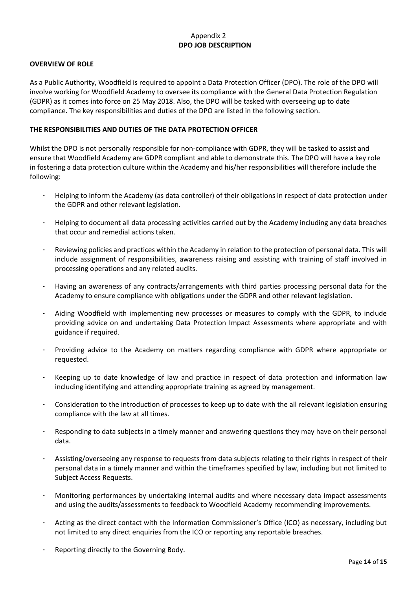# Appendix 2 **DPO JOB DESCRIPTION**

#### **OVERVIEW OF ROLE**

As a Public Authority, Woodfield is required to appoint a Data Protection Officer (DPO). The role of the DPO will involve working for Woodfield Academy to oversee its compliance with the General Data Protection Regulation (GDPR) as it comes into force on 25 May 2018. Also, the DPO will be tasked with overseeing up to date compliance. The key responsibilities and duties of the DPO are listed in the following section.

#### **THE RESPONSIBILITIES AND DUTIES OF THE DATA PROTECTION OFFICER**

Whilst the DPO is not personally responsible for non-compliance with GDPR, they will be tasked to assist and ensure that Woodfield Academy are GDPR compliant and able to demonstrate this. The DPO will have a key role in fostering a data protection culture within the Academy and his/her responsibilities will therefore include the following:

- Helping to inform the Academy (as data controller) of their obligations in respect of data protection under the GDPR and other relevant legislation.
- Helping to document all data processing activities carried out by the Academy including any data breaches that occur and remedial actions taken.
- Reviewing policies and practices within the Academy in relation to the protection of personal data. This will include assignment of responsibilities, awareness raising and assisting with training of staff involved in processing operations and any related audits.
- Having an awareness of any contracts/arrangements with third parties processing personal data for the Academy to ensure compliance with obligations under the GDPR and other relevant legislation.
- Aiding Woodfield with implementing new processes or measures to comply with the GDPR, to include providing advice on and undertaking Data Protection Impact Assessments where appropriate and with guidance if required.
- Providing advice to the Academy on matters regarding compliance with GDPR where appropriate or requested.
- Keeping up to date knowledge of law and practice in respect of data protection and information law including identifying and attending appropriate training as agreed by management.
- Consideration to the introduction of processes to keep up to date with the all relevant legislation ensuring compliance with the law at all times.
- Responding to data subjects in a timely manner and answering questions they may have on their personal data.
- Assisting/overseeing any response to requests from data subjects relating to their rights in respect of their personal data in a timely manner and within the timeframes specified by law, including but not limited to Subject Access Requests.
- Monitoring performances by undertaking internal audits and where necessary data impact assessments and using the audits/assessments to feedback to Woodfield Academy recommending improvements.
- Acting as the direct contact with the Information Commissioner's Office (ICO) as necessary, including but not limited to any direct enquiries from the ICO or reporting any reportable breaches.
- Reporting directly to the Governing Body.